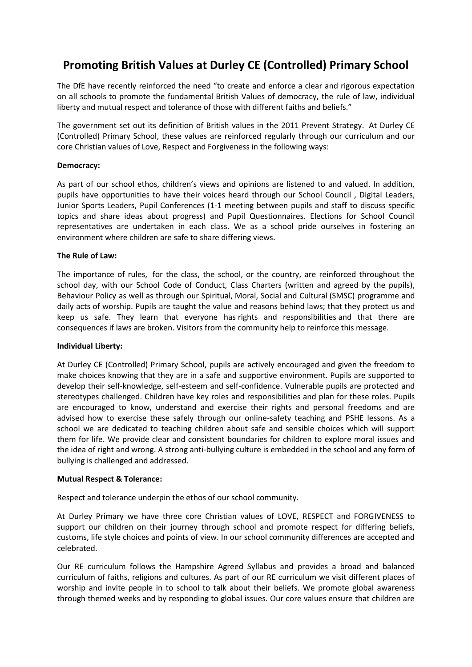# **Promoting British Values at Durley CE (Controlled) Primary School**

The DfE have recently reinforced the need "to create and enforce a clear and rigorous expectation on all schools to promote the fundamental British Values of democracy, the rule of law, individual liberty and mutual respect and tolerance of those with different faiths and beliefs."

The government set out its definition of British values in the 2011 Prevent Strategy. At Durley CE (Controlled) Primary School, these values are reinforced regularly through our curriculum and our core Christian values of Love, Respect and Forgiveness in the following ways:

## **Democracy:**

As part of our school ethos, children's views and opinions are listened to and valued. In addition, pupils have opportunities to have their voices heard through our School Council , Digital Leaders, Junior Sports Leaders, Pupil Conferences (1-1 meeting between pupils and staff to discuss specific topics and share ideas about progress) and Pupil Questionnaires. Elections for School Council representatives are undertaken in each class. We as a school pride ourselves in fostering an environment where children are safe to share differing views.

## **The Rule of Law:**

The importance of rules, for the class, the school, or the country, are reinforced throughout the school day, with our School Code of Conduct, Class Charters (written and agreed by the pupils), Behaviour Policy as well as through our Spiritual, Moral, Social and Cultural (SMSC) programme and daily acts of worship. Pupils are taught the value and reasons behind laws; that they protect us and keep us safe. They learn that everyone has rights and responsibilities and that there are consequences if laws are broken. Visitors from the community help to reinforce this message.

### **Individual Liberty:**

At Durley CE (Controlled) Primary School, pupils are actively encouraged and given the freedom to make choices knowing that they are in a safe and supportive environment. Pupils are supported to develop their self-knowledge, self-esteem and self-confidence. Vulnerable pupils are protected and stereotypes challenged. Children have key roles and responsibilities and plan for these roles. Pupils are encouraged to know, understand and exercise their rights and personal freedoms and are advised how to exercise these safely through our online-safety teaching and PSHE lessons. As a school we are dedicated to teaching children about safe and sensible choices which will support them for life. We provide clear and consistent boundaries for children to explore moral issues and the idea of right and wrong. A strong anti-bullying culture is embedded in the school and any form of bullying is challenged and addressed.

### **Mutual Respect & Tolerance:**

Respect and tolerance underpin the ethos of our school community.

At Durley Primary we have three core Christian values of LOVE, RESPECT and FORGIVENESS to support our children on their journey through school and promote respect for differing beliefs, customs, life style choices and points of view. In our school community differences are accepted and celebrated.

Our RE curriculum follows the Hampshire Agreed Syllabus and provides a broad and balanced curriculum of faiths, religions and cultures. As part of our RE curriculum we visit different places of worship and invite people in to school to talk about their beliefs. We promote global awareness through themed weeks and by responding to global issues. Our core values ensure that children are